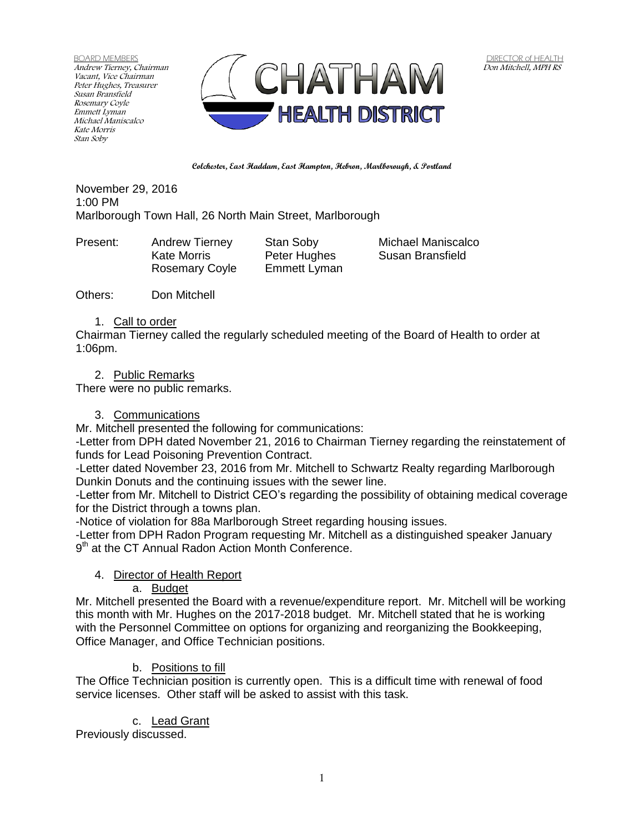BOARD MEMBERS Andrew Tierney, Chairman Vacant, Vice Chairman Peter Hughes, Treasurer Susan Bransfield Rosemary Coyle Emmett Lyman Michael Maniscalco Kate Morris Stan Soby



**Colchester, East Haddam, East Hampton, Hebron, Marlborough, & Portland**

November 29, 2016 1:00 PM Marlborough Town Hall, 26 North Main Street, Marlborough

Present: Andrew Tierney Stan Soby Michael Maniscalco

Kate Morris **Peter Hughes** Susan Bransfield Rosemary Coyle Emmett Lyman

Others: Don Mitchell

#### 1. Call to order

Chairman Tierney called the regularly scheduled meeting of the Board of Health to order at 1:06pm.

### 2. Public Remarks

There were no public remarks.

#### 3. Communications

Mr. Mitchell presented the following for communications:

-Letter from DPH dated November 21, 2016 to Chairman Tierney regarding the reinstatement of funds for Lead Poisoning Prevention Contract.

-Letter dated November 23, 2016 from Mr. Mitchell to Schwartz Realty regarding Marlborough Dunkin Donuts and the continuing issues with the sewer line.

-Letter from Mr. Mitchell to District CEO's regarding the possibility of obtaining medical coverage for the District through a towns plan.

-Notice of violation for 88a Marlborough Street regarding housing issues.

-Letter from DPH Radon Program requesting Mr. Mitchell as a distinguished speaker January 9<sup>th</sup> at the CT Annual Radon Action Month Conference.

## 4. Director of Health Report

a. Budget

Mr. Mitchell presented the Board with a revenue/expenditure report. Mr. Mitchell will be working this month with Mr. Hughes on the 2017-2018 budget. Mr. Mitchell stated that he is working with the Personnel Committee on options for organizing and reorganizing the Bookkeeping, Office Manager, and Office Technician positions.

## b. Positions to fill

The Office Technician position is currently open. This is a difficult time with renewal of food service licenses. Other staff will be asked to assist with this task.

## c. Lead Grant

Previously discussed.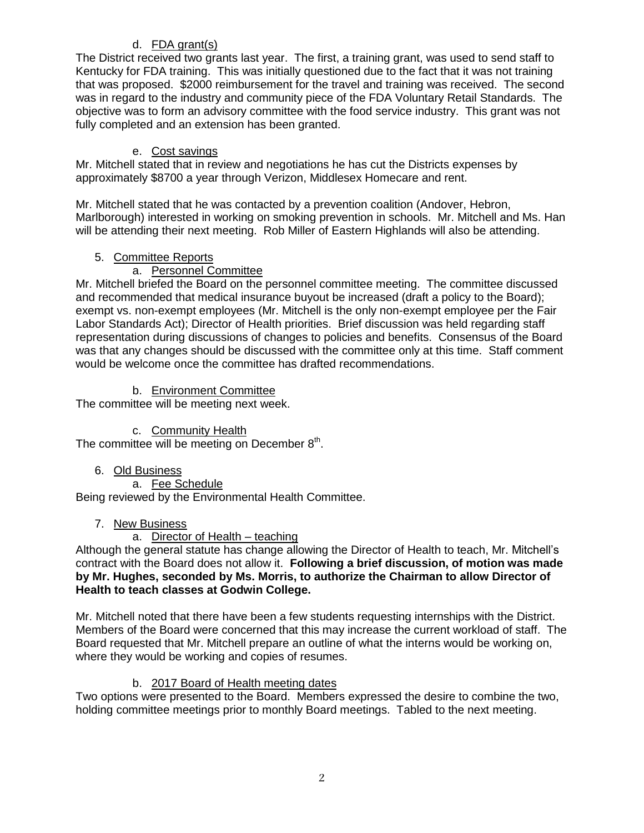# d. FDA grant(s)

The District received two grants last year. The first, a training grant, was used to send staff to Kentucky for FDA training. This was initially questioned due to the fact that it was not training that was proposed. \$2000 reimbursement for the travel and training was received. The second was in regard to the industry and community piece of the FDA Voluntary Retail Standards. The objective was to form an advisory committee with the food service industry. This grant was not fully completed and an extension has been granted.

## e. Cost savings

Mr. Mitchell stated that in review and negotiations he has cut the Districts expenses by approximately \$8700 a year through Verizon, Middlesex Homecare and rent.

Mr. Mitchell stated that he was contacted by a prevention coalition (Andover, Hebron, Marlborough) interested in working on smoking prevention in schools. Mr. Mitchell and Ms. Han will be attending their next meeting. Rob Miller of Eastern Highlands will also be attending.

## 5. Committee Reports

# a. Personnel Committee

Mr. Mitchell briefed the Board on the personnel committee meeting. The committee discussed and recommended that medical insurance buyout be increased (draft a policy to the Board); exempt vs. non-exempt employees (Mr. Mitchell is the only non-exempt employee per the Fair Labor Standards Act); Director of Health priorities. Brief discussion was held regarding staff representation during discussions of changes to policies and benefits. Consensus of the Board was that any changes should be discussed with the committee only at this time. Staff comment would be welcome once the committee has drafted recommendations.

## b. Environment Committee

The committee will be meeting next week.

## c. Community Health

The committee will be meeting on December 8<sup>th</sup>.

## 6. Old Business

a. Fee Schedule

Being reviewed by the Environmental Health Committee.

## 7. New Business

## a. Director of Health – teaching

Although the general statute has change allowing the Director of Health to teach, Mr. Mitchell's contract with the Board does not allow it. **Following a brief discussion, of motion was made by Mr. Hughes, seconded by Ms. Morris, to authorize the Chairman to allow Director of Health to teach classes at Godwin College.** 

Mr. Mitchell noted that there have been a few students requesting internships with the District. Members of the Board were concerned that this may increase the current workload of staff. The Board requested that Mr. Mitchell prepare an outline of what the interns would be working on, where they would be working and copies of resumes.

## b. 2017 Board of Health meeting dates

Two options were presented to the Board. Members expressed the desire to combine the two, holding committee meetings prior to monthly Board meetings. Tabled to the next meeting.